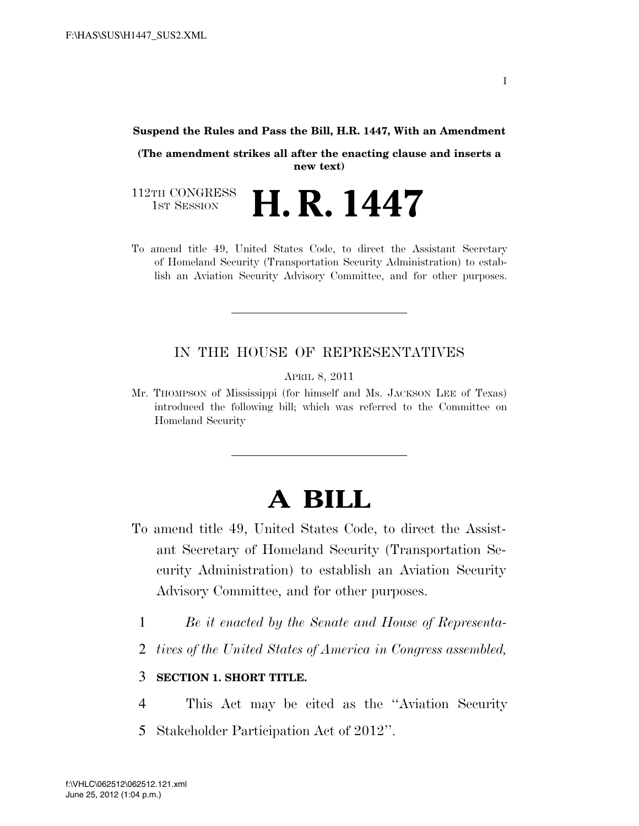#### **Suspend the Rules and Pass the Bill, H.R. 1447, With an Amendment**

**(The amendment strikes all after the enacting clause and inserts a new text)** 

112TH CONGRESS<br>1st Session H. R. 1447

To amend title 49, United States Code, to direct the Assistant Secretary of Homeland Security (Transportation Security Administration) to establish an Aviation Security Advisory Committee, and for other purposes.

### IN THE HOUSE OF REPRESENTATIVES

APRIL 8, 2011

Mr. THOMPSON of Mississippi (for himself and Ms. JACKSON LEE of Texas) introduced the following bill; which was referred to the Committee on Homeland Security

# **A BILL**

- To amend title 49, United States Code, to direct the Assistant Secretary of Homeland Security (Transportation Security Administration) to establish an Aviation Security Advisory Committee, and for other purposes.
	- 1 *Be it enacted by the Senate and House of Representa-*
	- 2 *tives of the United States of America in Congress assembled,*

### 3 **SECTION 1. SHORT TITLE.**

4 This Act may be cited as the ''Aviation Security 5 Stakeholder Participation Act of 2012''.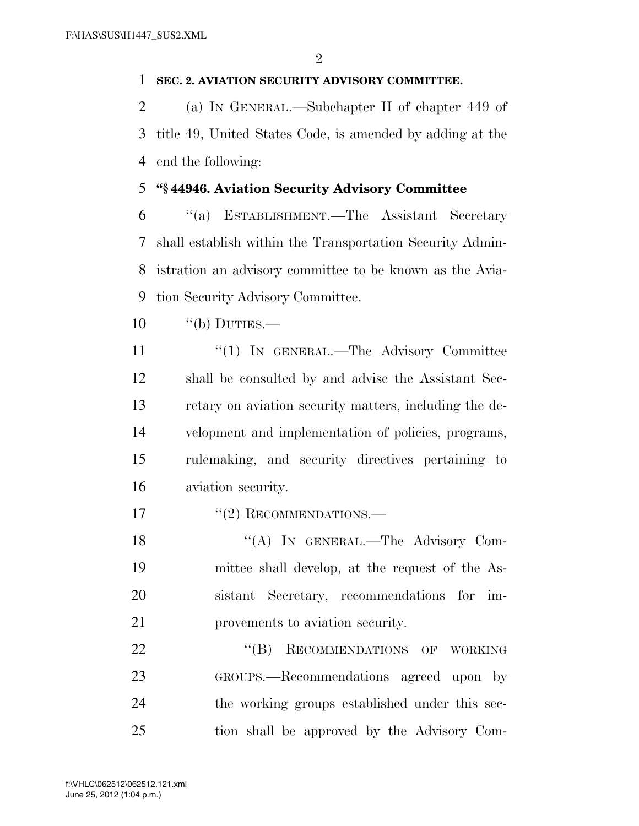### **SEC. 2. AVIATION SECURITY ADVISORY COMMITTEE.**

 (a) IN GENERAL.—Subchapter II of chapter 449 of title 49, United States Code, is amended by adding at the end the following:

## **''§ 44946. Aviation Security Advisory Committee**

 ''(a) ESTABLISHMENT.—The Assistant Secretary shall establish within the Transportation Security Admin- istration an advisory committee to be known as the Avia-tion Security Advisory Committee.

- $10 \qquad$  "(b) DUTIES.—
- 11 "'(1) In GENERAL.—The Advisory Committee shall be consulted by and advise the Assistant Sec- retary on aviation security matters, including the de- velopment and implementation of policies, programs, rulemaking, and security directives pertaining to aviation security.

17 "(2) RECOMMENDATIONS.—

18 "(A) IN GENERAL.—The Advisory Com- mittee shall develop, at the request of the As- sistant Secretary, recommendations for im-provements to aviation security.

22 "(B) RECOMMENDATIONS OF WORKING GROUPS.—Recommendations agreed upon by the working groups established under this sec-tion shall be approved by the Advisory Com-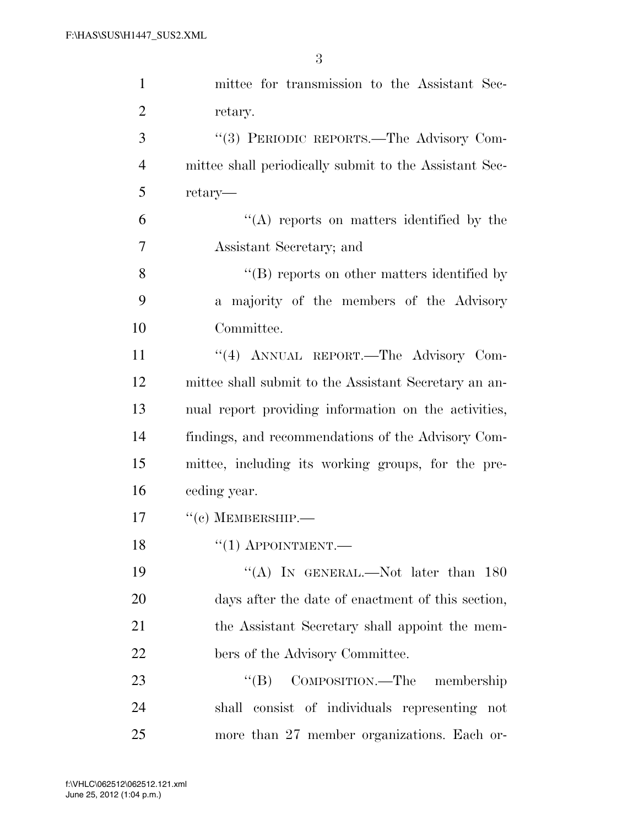| $\mathbf{1}$   | mittee for transmission to the Assistant Sec-          |
|----------------|--------------------------------------------------------|
| $\overline{2}$ | retary.                                                |
| 3              | "(3) PERIODIC REPORTS.—The Advisory Com-               |
| $\overline{4}$ | mittee shall periodically submit to the Assistant Sec- |
| 5              | retary—                                                |
| 6              | $\lq\lq$ reports on matters identified by the          |
| 7              | Assistant Secretary; and                               |
| 8              | $\lq\lq (B)$ reports on other matters identified by    |
| 9              | a majority of the members of the Advisory              |
| 10             | Committee.                                             |
| 11             | "(4) ANNUAL REPORT.—The Advisory Com-                  |
| 12             | mittee shall submit to the Assistant Secretary an an-  |
| 13             | nual report providing information on the activities,   |
| 14             | findings, and recommendations of the Advisory Com-     |
| 15             | mittee, including its working groups, for the pre-     |
| 16             | ceding year.                                           |
| 17             | $``(e)$ MEMBERSHIP.—                                   |
| 18             | $\lq(1)$ APPOINTMENT.—                                 |
| 19             | "(A) IN GENERAL.—Not later than $180$                  |
| 20             | days after the date of enactment of this section,      |
| 21             | the Assistant Secretary shall appoint the mem-         |
| 22             | bers of the Advisory Committee.                        |
| 23             | COMPOSITION.—The membership<br>$\lq\lq (B)$            |
| 24             | shall consist of individuals representing not          |
| 25             | more than 27 member organizations. Each or-            |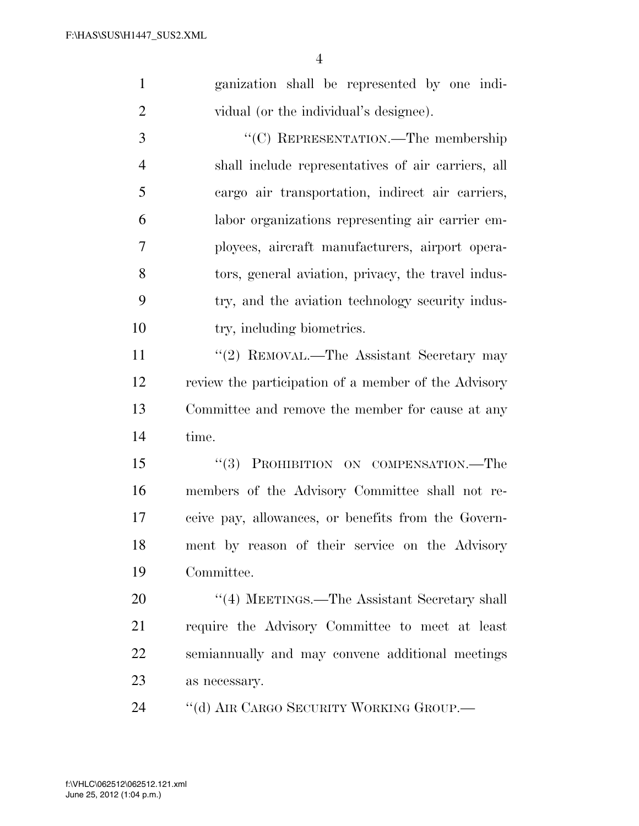| $\mathbf{1}$   | ganization shall be represented by one indi-         |
|----------------|------------------------------------------------------|
| $\overline{2}$ | vidual (or the individual's designee).               |
| 3              | "(C) REPRESENTATION.—The membership                  |
| $\overline{4}$ | shall include representatives of air carriers, all   |
| 5              | cargo air transportation, indirect air carriers,     |
| 6              | labor organizations representing air carrier em-     |
| 7              | ployees, aircraft manufacturers, airport opera-      |
| 8              | tors, general aviation, privacy, the travel indus-   |
| 9              | try, and the aviation technology security indus-     |
| 10             | try, including biometrics.                           |
| 11             | "(2) REMOVAL.—The Assistant Secretary may            |
| 12             | review the participation of a member of the Advisory |
| 13             | Committee and remove the member for cause at any     |
| 14             | time.                                                |
| 15             | "(3) PROHIBITION ON COMPENSATION.—The                |
| 16             | members of the Advisory Committee shall not re-      |
| 17             | ceive pay, allowances, or benefits from the Govern-  |
| 18             | ment by reason of their service on the Advisory      |
| 19             | Committee.                                           |
| 20             | "(4) MEETINGS.—The Assistant Secretary shall         |
| 21             | require the Advisory Committee to meet at least      |
| 22             | semiannually and may convene additional meetings     |
| 23             | as necessary.                                        |

''(d) AIR CARGO SECURITY WORKING GROUP.—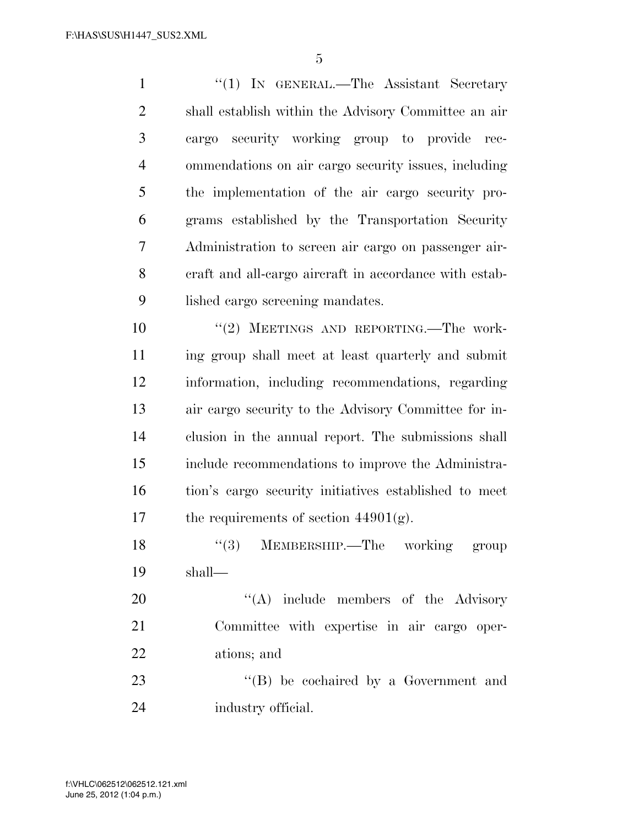1 "(1) IN GENERAL.—The Assistant Secretary shall establish within the Advisory Committee an air cargo security working group to provide rec- ommendations on air cargo security issues, including the implementation of the air cargo security pro- grams established by the Transportation Security Administration to screen air cargo on passenger air- craft and all-cargo aircraft in accordance with estab-lished cargo screening mandates.

 $(2)$  MEETINGS AND REPORTING. The work- ing group shall meet at least quarterly and submit information, including recommendations, regarding air cargo security to the Advisory Committee for in- clusion in the annual report. The submissions shall include recommendations to improve the Administra- tion's cargo security initiatives established to meet 17 the requirements of section  $44901(g)$ .

18 ''(3) MEMBERSHIP.—The working group shall—

20 "(A) include members of the Advisory Committee with expertise in air cargo oper-ations; and

23 "'(B) be cochaired by a Government and industry official.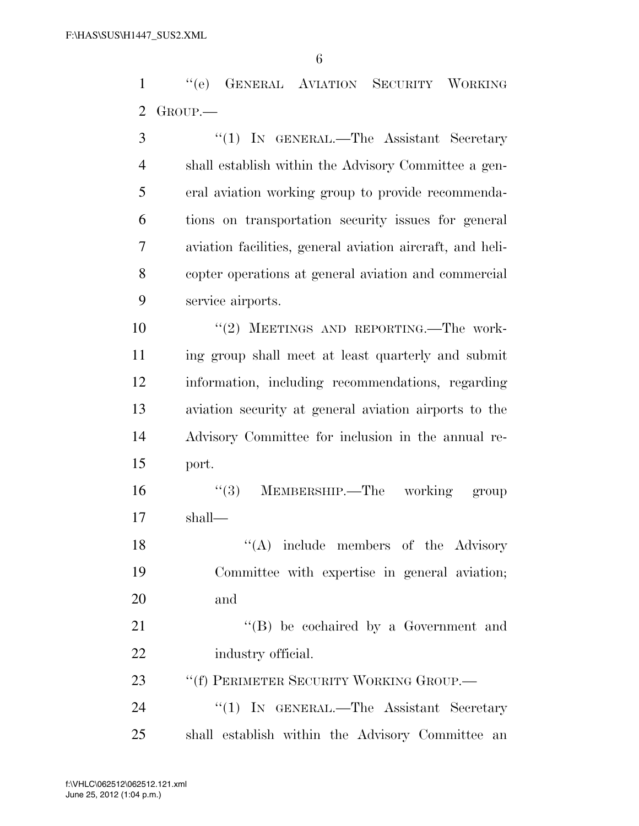''(e) GENERAL AVIATION SECURITY WORKING GROUP.—

 ''(1) IN GENERAL.—The Assistant Secretary shall establish within the Advisory Committee a gen- eral aviation working group to provide recommenda- tions on transportation security issues for general aviation facilities, general aviation aircraft, and heli- copter operations at general aviation and commercial service airports.  $(2)$  MEETINGS AND REPORTING. The work- ing group shall meet at least quarterly and submit information, including recommendations, regarding aviation security at general aviation airports to the

 Advisory Committee for inclusion in the annual re-port.

 ''(3) MEMBERSHIP.—The working group shall—

18 ''(A) include members of the Advisory Committee with expertise in general aviation; and

21 ''(B) be cochaired by a Government and industry official.

23 "'(f) PERIMETER SECURITY WORKING GROUP.

24 "(1) IN GENERAL.—The Assistant Secretary shall establish within the Advisory Committee an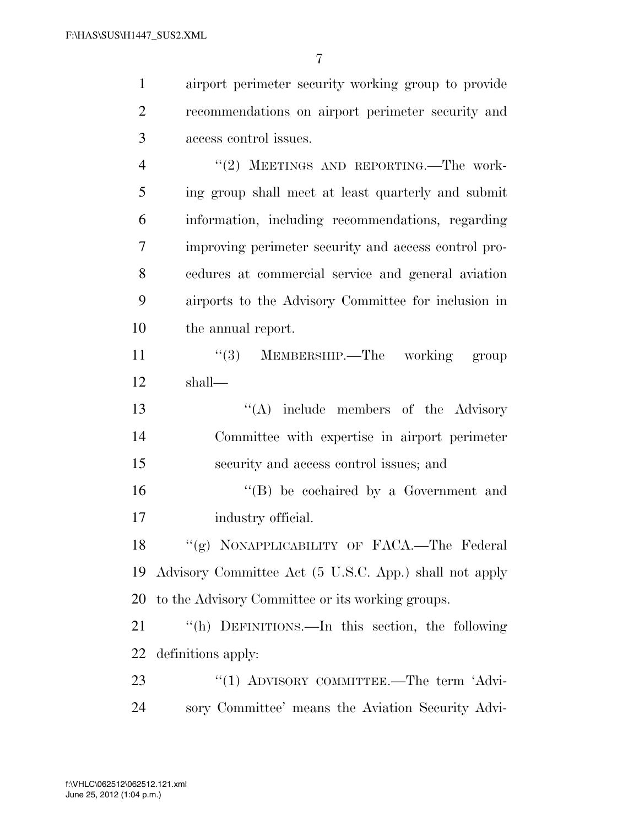airport perimeter security working group to provide

| $\overline{2}$ | recommendations on airport perimeter security and         |
|----------------|-----------------------------------------------------------|
| 3              | access control issues.                                    |
| $\overline{4}$ | "(2) MEETINGS AND REPORTING.—The work-                    |
| 5              | ing group shall meet at least quarterly and submit        |
| 6              | information, including recommendations, regarding         |
| 7              | improving perimeter security and access control pro-      |
| 8              | cedures at commercial service and general aviation        |
| 9              | airports to the Advisory Committee for inclusion in       |
| 10             | the annual report.                                        |
| 11             | $\lq(3)$ MEMBERSHIP.—The working group                    |
| 12             | shall—                                                    |
| 13             | "(A) include members of the Advisory                      |
| 14             | Committee with expertise in airport perimeter             |
| 15             | security and access control issues; and                   |
| 16             | "(B) be cochaired by a Government and                     |
| 17             | industry official.                                        |
| 18             | "(g) NONAPPLICABILITY OF FACA.—The Federal                |
|                | 19 Advisory Committee Act (5 U.S.C. App.) shall not apply |
| 20             | to the Advisory Committee or its working groups.          |
| 21             | "(h) DEFINITIONS.—In this section, the following          |
| 22             | definitions apply:                                        |
| 23             | "(1) ADVISORY COMMITTEE.—The term 'Advi-                  |
| 24             | sory Committee' means the Aviation Security Advi-         |
|                |                                                           |